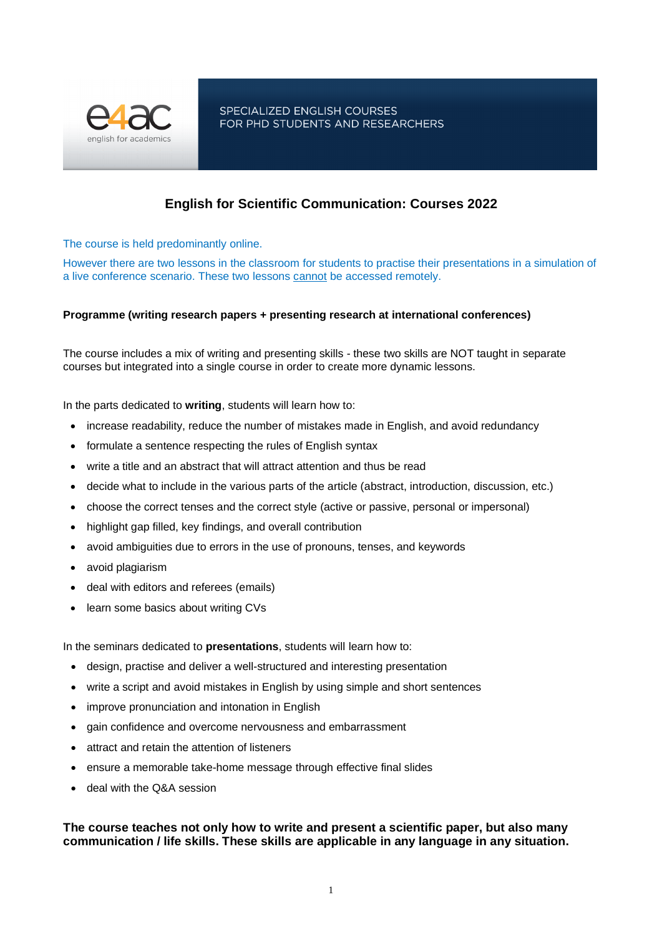

SPECIALIZED ENGLISH COURSES FOR PHD STUDENTS AND RESEARCHERS

# **English for Scientific Communication: Courses 2022**

The course is held predominantly online.

However there are two lessons in the classroom for students to practise their presentations in a simulation of a live conference scenario. These two lessons cannot be accessed remotely.

## **Programme (writing research papers + presenting research at international conferences)**

The course includes a mix of writing and presenting skills - these two skills are NOT taught in separate courses but integrated into a single course in order to create more dynamic lessons.

In the parts dedicated to **writing**, students will learn how to:

- increase readability, reduce the number of mistakes made in English, and avoid redundancy
- formulate a sentence respecting the rules of English syntax
- write a title and an abstract that will attract attention and thus be read
- decide what to include in the various parts of the article (abstract, introduction, discussion, etc.)
- choose the correct tenses and the correct style (active or passive, personal or impersonal)
- highlight gap filled, key findings, and overall contribution
- avoid ambiguities due to errors in the use of pronouns, tenses, and keywords
- avoid plagiarism
- deal with editors and referees (emails)
- learn some basics about writing CVs

In the seminars dedicated to **presentations**, students will learn how to:

- design, practise and deliver a well-structured and interesting presentation
- write a script and avoid mistakes in English by using simple and short sentences
- improve pronunciation and intonation in English
- gain confidence and overcome nervousness and embarrassment
- attract and retain the attention of listeners
- ensure a memorable take-home message through effective final slides
- deal with the Q&A session

## **The course teaches not only how to write and present a scientific paper, but also many communication / life skills. These skills are applicable in any language in any situation.**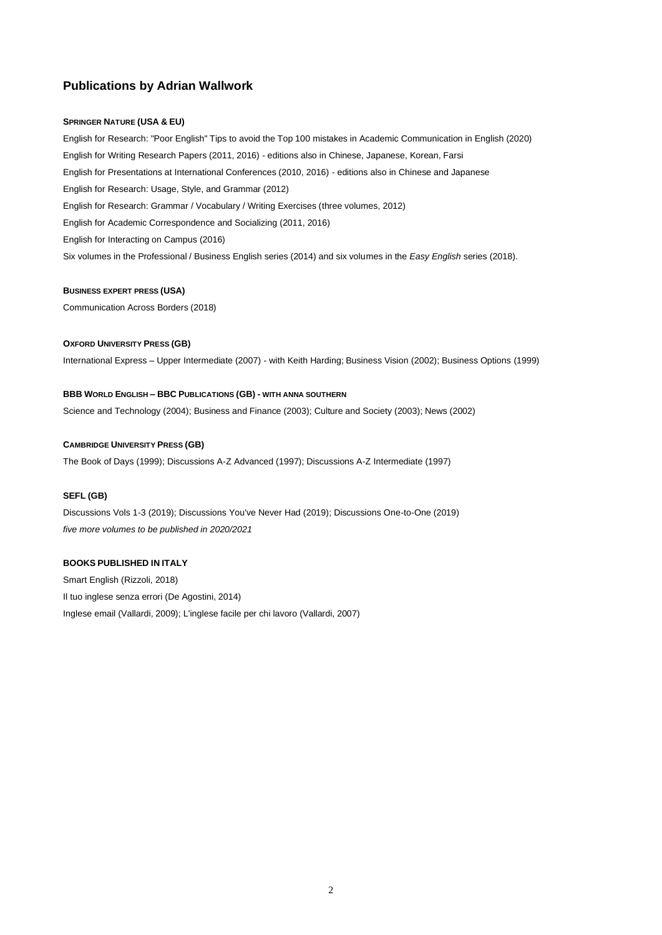## **Publications by Adrian Wallwork**

#### **SPRINGER NATURE (USA & EU)**

English for Research: "Poor English" Tips to avoid the Top 100 mistakes in Academic Communication in English (2020) English for Writing Research Papers (2011, 2016) - editions also in Chinese, Japanese, Korean, Farsi English for Presentations at International Conferences (2010, 2016) - editions also in Chinese and Japanese English for Research: Usage, Style, and Grammar (2012) English for Research: Grammar / Vocabulary / Writing Exercises (three volumes, 2012) English for Academic Correspondence and Socializing (2011, 2016) English for Interacting on Campus (2016) Six volumes in the Professional / Business English series (2014) and six volumes in the *Easy English* series (2018).

#### **BUSINESS EXPERT PRESS (USA)**

Communication Across Borders (2018)

#### **OXFORD UNIVERSITY PRESS (GB)**

International Express – Upper Intermediate (2007) - with Keith Harding; Business Vision (2002); Business Options (1999)

### **BBB WORLD ENGLISH – BBC PUBLICATIONS (GB) - WITH ANNA SOUTHERN**

Science and Technology (2004); Business and Finance (2003); Culture and Society (2003); News (2002)

#### **CAMBRIDGE UNIVERSITY PRESS (GB)**

The Book of Days (1999); Discussions A-Z Advanced (1997); Discussions A-Z Intermediate (1997)

#### **SEFL (GB)**

Discussions Vols 1-3 (2019); Discussions You've Never Had (2019); Discussions One-to-One (2019) *five more volumes to be published in 2020/2021*

### **BOOKS PUBLISHED IN ITALY**

Smart English (Rizzoli, 2018) Il tuo inglese senza errori (De Agostini, 2014) Inglese email (Vallardi, 2009); L'inglese facile per chi lavoro (Vallardi, 2007)